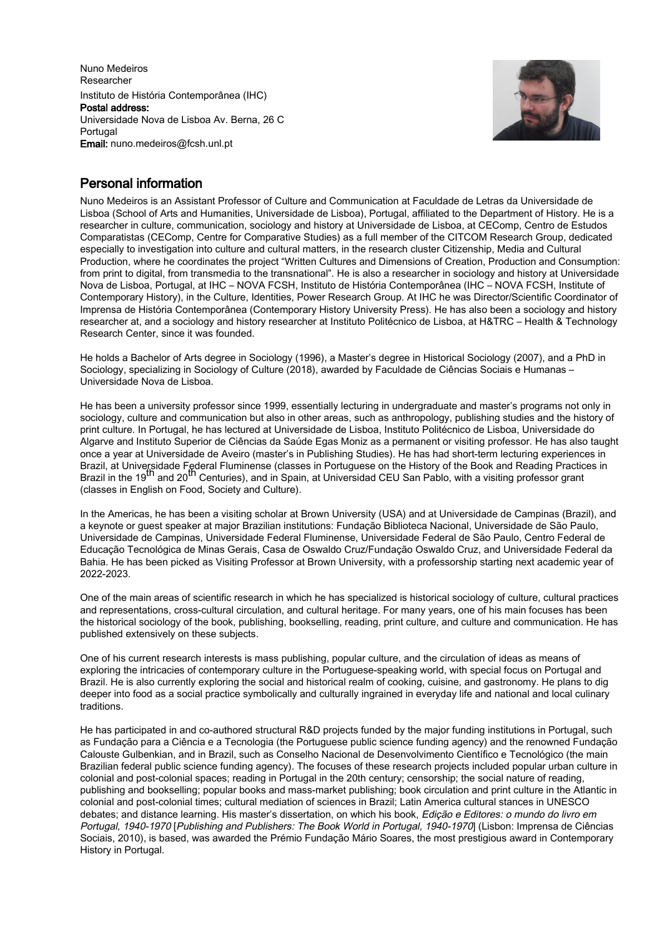Nuno Medeiros Researcher Instituto de História Contemporânea (IHC) Postal address: Universidade Nova de Lisboa Av. Berna, 26 C Portugal Email: nuno.medeiros@fcsh.unl.pt



# Personal information

Nuno Medeiros is an Assistant Professor of Culture and Communication at Faculdade de Letras da Universidade de Lisboa (School of Arts and Humanities, Universidade de Lisboa), Portugal, affiliated to the Department of History. He is a researcher in culture, communication, sociology and history at Universidade de Lisboa, at CEComp, Centro de Estudos Comparatistas (CEComp, Centre for Comparative Studies) as a full member of the CITCOM Research Group, dedicated especially to investigation into culture and cultural matters, in the research cluster Citizenship, Media and Cultural Production, where he coordinates the project "Written Cultures and Dimensions of Creation, Production and Consumption: from print to digital, from transmedia to the transnational". He is also a researcher in sociology and history at Universidade Nova de Lisboa, Portugal, at IHC – NOVA FCSH, Instituto de História Contemporânea (IHC – NOVA FCSH, Institute of Contemporary History), in the Culture, Identities, Power Research Group. At IHC he was Director/Scientific Coordinator of Imprensa de História Contemporânea (Contemporary History University Press). He has also been a sociology and history researcher at, and a sociology and history researcher at Instituto Politécnico de Lisboa, at H&TRC – Health & Technology Research Center, since it was founded.

He holds a Bachelor of Arts degree in Sociology (1996), a Master's degree in Historical Sociology (2007), and a PhD in Sociology, specializing in Sociology of Culture (2018), awarded by Faculdade de Ciências Sociais e Humanas – Universidade Nova de Lisboa.

He has been a university professor since 1999, essentially lecturing in undergraduate and master's programs not only in sociology, culture and communication but also in other areas, such as anthropology, publishing studies and the history of print culture. In Portugal, he has lectured at Universidade de Lisboa, Instituto Politécnico de Lisboa, Universidade do Algarve and Instituto Superior de Ciências da Saúde Egas Moniz as a permanent or visiting professor. He has also taught once a year at Universidade de Aveiro (master's in Publishing Studies). He has had short-term lecturing experiences in Brazil, at Universidade Federal Fluminense (classes in Portuguese on the History of the Book and Reading Practices in Brazil in the 19<sup>th</sup> and 20<sup>th</sup> Centuries), and in Spain, at Universidad CEU San Pablo, with a visiting professor grant (classes in English on Food, Society and Culture).

In the Americas, he has been a visiting scholar at Brown University (USA) and at Universidade de Campinas (Brazil), and a keynote or guest speaker at major Brazilian institutions: Fundação Biblioteca Nacional, Universidade de São Paulo, Universidade de Campinas, Universidade Federal Fluminense, Universidade Federal de São Paulo, Centro Federal de Educação Tecnológica de Minas Gerais, Casa de Oswaldo Cruz/Fundação Oswaldo Cruz, and Universidade Federal da Bahia. He has been picked as Visiting Professor at Brown University, with a professorship starting next academic year of 2022-2023.

One of the main areas of scientific research in which he has specialized is historical sociology of culture, cultural practices and representations, cross-cultural circulation, and cultural heritage. For many years, one of his main focuses has been the historical sociology of the book, publishing, bookselling, reading, print culture, and culture and communication. He has published extensively on these subjects.

One of his current research interests is mass publishing, popular culture, and the circulation of ideas as means of exploring the intricacies of contemporary culture in the Portuguese-speaking world, with special focus on Portugal and Brazil. He is also currently exploring the social and historical realm of cooking, cuisine, and gastronomy. He plans to dig deeper into food as a social practice symbolically and culturally ingrained in everyday life and national and local culinary traditions.

He has participated in and co-authored structural R&D projects funded by the major funding institutions in Portugal, such as Fundação para a Ciência e a Tecnologia (the Portuguese public science funding agency) and the renowned Fundação Calouste Gulbenkian, and in Brazil, such as Conselho Nacional de Desenvolvimento Científico e Tecnológico (the main Brazilian federal public science funding agency). The focuses of these research projects included popular urban culture in colonial and post-colonial spaces; reading in Portugal in the 20th century; censorship; the social nature of reading, publishing and bookselling; popular books and mass-market publishing; book circulation and print culture in the Atlantic in colonial and post-colonial times; cultural mediation of sciences in Brazil; Latin America cultural stances in UNESCO debates; and distance learning. His master's dissertation, on which his book, Edição e Editores: o mundo do livro em Portugal, 1940-1970 [Publishing and Publishers: The Book World in Portugal, 1940-1970] (Lisbon: Imprensa de Ciências Sociais, 2010), is based, was awarded the Prémio Fundação Mário Soares, the most prestigious award in Contemporary History in Portugal.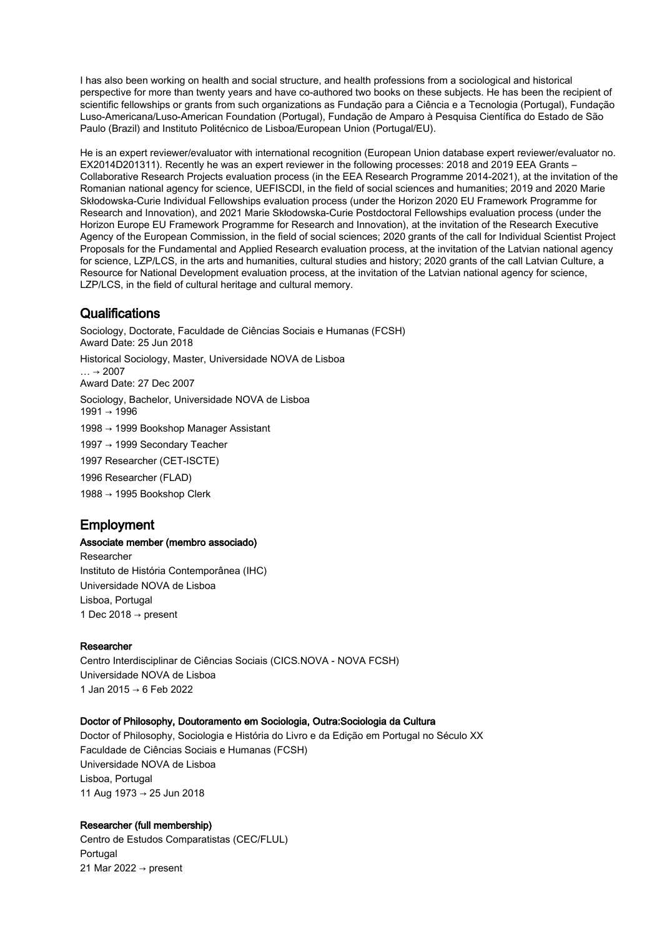I has also been working on health and social structure, and health professions from a sociological and historical perspective for more than twenty years and have co-authored two books on these subjects. He has been the recipient of scientific fellowships or grants from such organizations as Fundação para a Ciência e a Tecnologia (Portugal), Fundação Luso-Americana/Luso-American Foundation (Portugal), Fundação de Amparo à Pesquisa Científica do Estado de São Paulo (Brazil) and Instituto Politécnico de Lisboa/European Union (Portugal/EU).

He is an expert reviewer/evaluator with international recognition (European Union database expert reviewer/evaluator no. EX2014D201311). Recently he was an expert reviewer in the following processes: 2018 and 2019 EEA Grants – Collaborative Research Projects evaluation process (in the EEA Research Programme 2014-2021), at the invitation of the Romanian national agency for science, UEFISCDI, in the field of social sciences and humanities; 2019 and 2020 Marie Skłodowska-Curie Individual Fellowships evaluation process (under the Horizon 2020 EU Framework Programme for Research and Innovation), and 2021 Marie Skłodowska-Curie Postdoctoral Fellowships evaluation process (under the Horizon Europe EU Framework Programme for Research and Innovation), at the invitation of the Research Executive Agency of the European Commission, in the field of social sciences; 2020 grants of the call for Individual Scientist Project Proposals for the Fundamental and Applied Research evaluation process, at the invitation of the Latvian national agency for science, LZP/LCS, in the arts and humanities, cultural studies and history; 2020 grants of the call Latvian Culture, a Resource for National Development evaluation process, at the invitation of the Latvian national agency for science, LZP/LCS, in the field of cultural heritage and cultural memory.

# **Qualifications**

Sociology, Doctorate, Faculdade de Ciências Sociais e Humanas (FCSH) Award Date: 25 Jun 2018 Historical Sociology, Master, Universidade NOVA de Lisboa  $\ldots \rightarrow 2007$ Award Date: 27 Dec 2007 Sociology, Bachelor, Universidade NOVA de Lisboa 1991 → 1996 1998 → 1999 Bookshop Manager Assistant 1997 → 1999 Secondary Teacher 1997 Researcher (CET-ISCTE) 1996 Researcher (FLAD) 1988 → 1995 Bookshop Clerk

# Employment

# Associate member (membro associado)

Researcher Instituto de História Contemporânea (IHC) Universidade NOVA de Lisboa Lisboa, Portugal 1 Dec 2018  $\rightarrow$  present

# Researcher

Centro Interdisciplinar de Ciências Sociais (CICS.NOVA - NOVA FCSH) Universidade NOVA de Lisboa 1 Jan 2015 → 6 Feb 2022

# Doctor of Philosophy, Doutoramento em Sociologia, Outra:Sociologia da Cultura

Doctor of Philosophy, Sociologia e História do Livro e da Edição em Portugal no Século XX Faculdade de Ciências Sociais e Humanas (FCSH) Universidade NOVA de Lisboa Lisboa, Portugal 11 Aug 1973 → 25 Jun 2018

# Researcher (full membership)

Centro de Estudos Comparatistas (CEC/FLUL) Portugal 21 Mar 2022  $\rightarrow$  present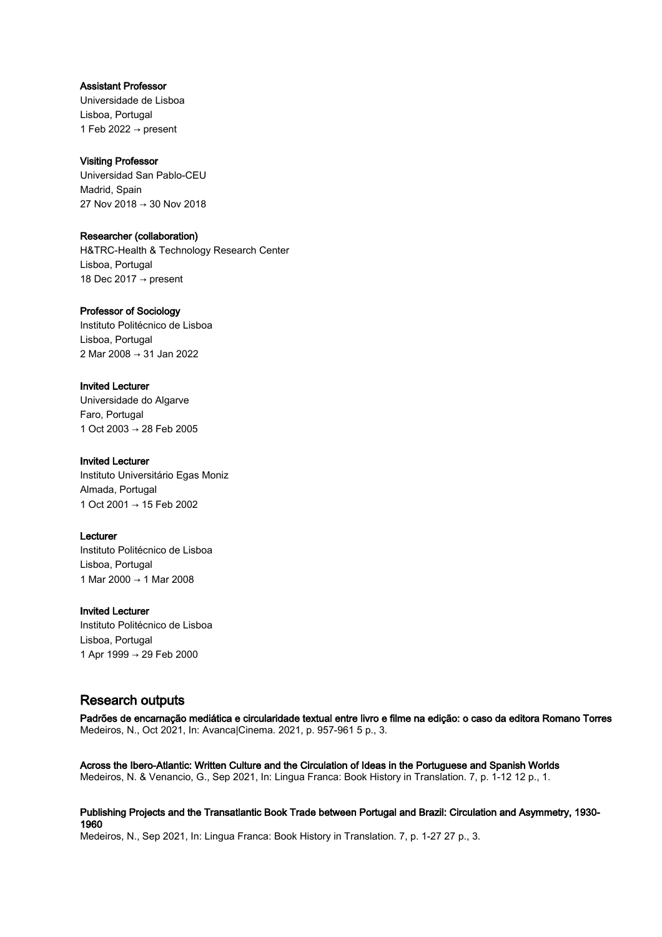## Assistant Professor

Universidade de Lisboa Lisboa, Portugal 1 Feb 2022  $\rightarrow$  present

# Visiting Professor

Universidad San Pablo-CEU Madrid, Spain 27 Nov 2018 → 30 Nov 2018

## Researcher (collaboration)

H&TRC-Health & Technology Research Center Lisboa, Portugal 18 Dec 2017 → present

## Professor of Sociology

Instituto Politécnico de Lisboa Lisboa, Portugal 2 Mar 2008 → 31 Jan 2022

# Invited Lecturer

Universidade do Algarve Faro, Portugal 1 Oct 2003 → 28 Feb 2005

## Invited Lecturer

Instituto Universitário Egas Moniz Almada, Portugal 1 Oct 2001 → 15 Feb 2002

# Lecturer

Instituto Politécnico de Lisboa Lisboa, Portugal 1 Mar 2000 → 1 Mar 2008

#### Invited Lecturer

Instituto Politécnico de Lisboa Lisboa, Portugal 1 Apr 1999 → 29 Feb 2000

# Research outputs

Padrões de encarnação mediática e circularidade textual entre livro e filme na edição: o caso da editora Romano Torres Medeiros, N., Oct 2021, In: Avanca|Cinema. 2021, p. 957-961 5 p., 3.

Across the Ibero-Atlantic: Written Culture and the Circulation of Ideas in the Portuguese and Spanish Worlds Medeiros, N. & Venancio, G., Sep 2021, In: Lingua Franca: Book History in Translation. 7, p. 1-12 12 p., 1.

Publishing Projects and the Transatlantic Book Trade between Portugal and Brazil: Circulation and Asymmetry, 1930- 1960

Medeiros, N., Sep 2021, In: Lingua Franca: Book History in Translation. 7, p. 1-27 27 p., 3.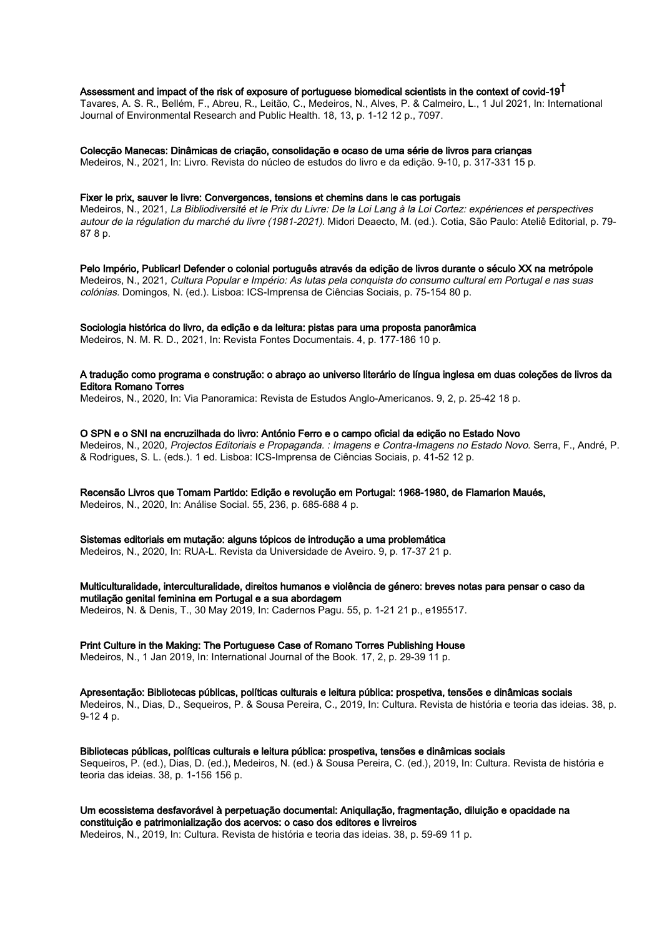# Assessment and impact of the risk of exposure of portuguese biomedical scientists in the context of covid-19 $^\dagger$

Tavares, A. S. R., Bellém, F., Abreu, R., Leitão, C., Medeiros, N., Alves, P. & Calmeiro, L., 1 Jul 2021, In: International Journal of Environmental Research and Public Health. 18, 13, p. 1-12 12 p., 7097.

Colecção Manecas: Dinâmicas de criação, consolidação e ocaso de uma série de livros para crianças

Medeiros, N., 2021, In: Livro. Revista do núcleo de estudos do livro e da edição. 9-10, p. 317-331 15 p.

#### Fixer le prix, sauver le livre: Convergences, tensions et chemins dans le cas portugais

Medeiros, N., 2021, La Bibliodiversité et le Prix du Livre: De la Loi Lang à la Loi Cortez: expériences et perspectives autour de la régulation du marché du livre (1981-2021). Midori Deaecto, M. (ed.). Cotia, São Paulo: Ateliê Editorial, p. 79- 87 8 p.

Pelo Império, Publicar! Defender o colonial português através da edição de livros durante o século XX na metrópole Medeiros, N., 2021, Cultura Popular e Império: As lutas pela conquista do consumo cultural em Portugal e nas suas colónias. Domingos, N. (ed.). Lisboa: ICS-Imprensa de Ciências Sociais, p. 75-154 80 p.

# Sociologia histórica do livro, da edição e da leitura: pistas para uma proposta panorâmica

Medeiros, N. M. R. D., 2021, In: Revista Fontes Documentais. 4, p. 177-186 10 p.

## A tradução como programa e construção: o abraço ao universo literário de língua inglesa em duas coleções de livros da Editora Romano Torres

Medeiros, N., 2020, In: Via Panoramica: Revista de Estudos Anglo-Americanos. 9, 2, p. 25-42 18 p.

O SPN e o SNI na encruzilhada do livro: António Ferro e o campo oficial da edição no Estado Novo

Medeiros, N., 2020, Projectos Editoriais e Propaganda. : Imagens e Contra-Imagens no Estado Novo. Serra, F., André, P. & Rodrigues, S. L. (eds.). 1 ed. Lisboa: ICS-Imprensa de Ciências Sociais, p. 41-52 12 p.

# Recensão Livros que Tomam Partido: Edição e revolução em Portugal: 1968-1980, de Flamarion Maués,

Medeiros, N., 2020, In: Análise Social. 55, 236, p. 685-688 4 p.

# Sistemas editoriais em mutação: alguns tópicos de introdução a uma problemática

Medeiros, N., 2020, In: RUA-L. Revista da Universidade de Aveiro. 9, p. 17-37 21 p.

Multiculturalidade, interculturalidade, direitos humanos e violência de género: breves notas para pensar o caso da mutilação genital feminina em Portugal e a sua abordagem Medeiros, N. & Denis, T., 30 May 2019, In: Cadernos Pagu. 55, p. 1-21 21 p., e195517.

# Print Culture in the Making: The Portuguese Case of Romano Torres Publishing House

Medeiros, N., 1 Jan 2019, In: International Journal of the Book. 17, 2, p. 29-39 11 p.

Apresentação: Bibliotecas públicas, políticas culturais e leitura pública: prospetiva, tensões e dinâmicas sociais Medeiros, N., Dias, D., Sequeiros, P. & Sousa Pereira, C., 2019, In: Cultura. Revista de história e teoria das ideias. 38, p. 9-12 4 p.

Bibliotecas públicas, políticas culturais e leitura pública: prospetiva, tensões e dinâmicas sociais Sequeiros, P. (ed.), Dias, D. (ed.), Medeiros, N. (ed.) & Sousa Pereira, C. (ed.), 2019, In: Cultura. Revista de história e teoria das ideias. 38, p. 1-156 156 p.

# Um ecossistema desfavorável à perpetuação documental: Aniquilação, fragmentação, diluição e opacidade na constituição e patrimonialização dos acervos: o caso dos editores e livreiros

Medeiros, N., 2019, In: Cultura. Revista de história e teoria das ideias. 38, p. 59-69 11 p.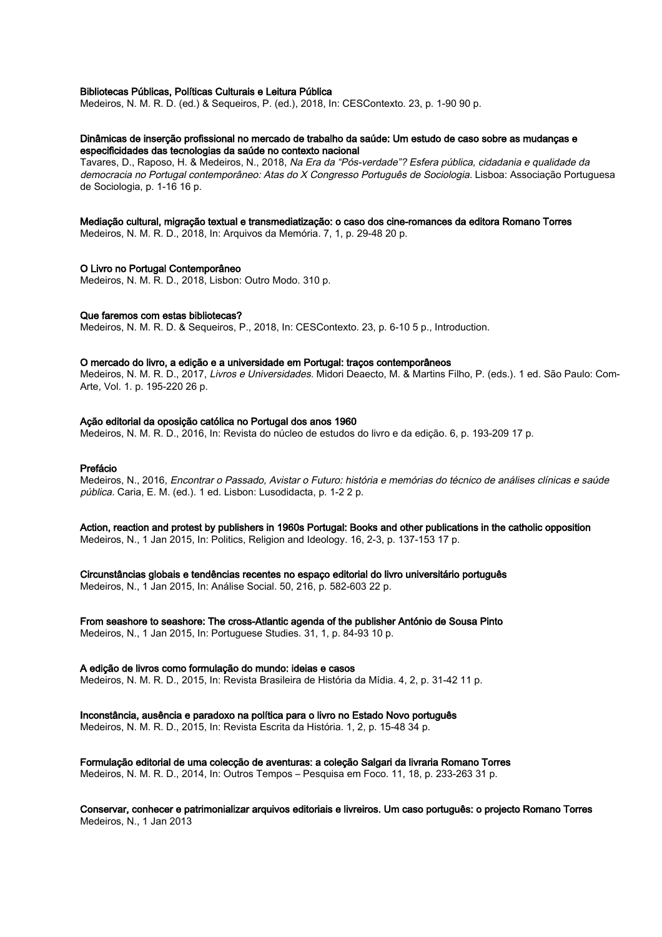#### Bibliotecas Públicas, Políticas Culturais e Leitura Pública

Medeiros, N. M. R. D. (ed.) & Sequeiros, P. (ed.), 2018, In: CESContexto. 23, p. 1-90 90 p.

#### Dinâmicas de inserção profissional no mercado de trabalho da saúde: Um estudo de caso sobre as mudanças e especificidades das tecnologias da saúde no contexto nacional

Tavares, D., Raposo, H. & Medeiros, N., 2018, Na Era da "Pós-verdade"? Esfera pública, cidadania e qualidade da democracia no Portugal contemporâneo: Atas do X Congresso Português de Sociologia. Lisboa: Associação Portuguesa de Sociologia, p. 1-16 16 p.

### Mediação cultural, migração textual e transmediatização: o caso dos cine-romances da editora Romano Torres

Medeiros, N. M. R. D., 2018, In: Arquivos da Memória. 7, 1, p. 29-48 20 p.

#### O Livro no Portugal Contemporâneo

Medeiros, N. M. R. D., 2018, Lisbon: Outro Modo. 310 p.

#### Que faremos com estas bibliotecas?

Medeiros, N. M. R. D. & Sequeiros, P., 2018, In: CESContexto. 23, p. 6-10 5 p., Introduction.

#### O mercado do livro, a edição e a universidade em Portugal: traços contemporâneos

Medeiros, N. M. R. D., 2017, Livros e Universidades. Midori Deaecto, M. & Martins Filho, P. (eds.). 1 ed. São Paulo: Com-Arte, Vol. 1. p. 195-220 26 p.

#### Ação editorial da oposição católica no Portugal dos anos 1960

Medeiros, N. M. R. D., 2016, In: Revista do núcleo de estudos do livro e da edição. 6, p. 193-209 17 p.

#### Prefácio

Medeiros, N., 2016, Encontrar o Passado, Avistar o Futuro: história e memórias do técnico de análises clínicas e saúde pública. Caria, E. M. (ed.). 1 ed. Lisbon: Lusodidacta, p. 1-2 2 p.

Action, reaction and protest by publishers in 1960s Portugal: Books and other publications in the catholic opposition Medeiros, N., 1 Jan 2015, In: Politics, Religion and Ideology. 16, 2-3, p. 137-153 17 p.

Circunstâncias globais e tendências recentes no espaço editorial do livro universitário português

Medeiros, N., 1 Jan 2015, In: Análise Social. 50, 216, p. 582-603 22 p.

From seashore to seashore: The cross-Atlantic agenda of the publisher António de Sousa Pinto Medeiros, N., 1 Jan 2015, In: Portuguese Studies. 31, 1, p. 84-93 10 p.

# A edição de livros como formulação do mundo: ideias e casos

Medeiros, N. M. R. D., 2015, In: Revista Brasileira de História da Mídia. 4, 2, p. 31-42 11 p.

#### Inconstância, ausência e paradoxo na política para o livro no Estado Novo português

Medeiros, N. M. R. D., 2015, In: Revista Escrita da História. 1, 2, p. 15-48 34 p.

# Formulação editorial de uma colecção de aventuras: a coleção Salgari da livraria Romano Torres

Medeiros, N. M. R. D., 2014, In: Outros Tempos – Pesquisa em Foco. 11, 18, p. 233-263 31 p.

Conservar, conhecer e patrimonializar arquivos editoriais e livreiros. Um caso português: o projecto Romano Torres Medeiros, N., 1 Jan 2013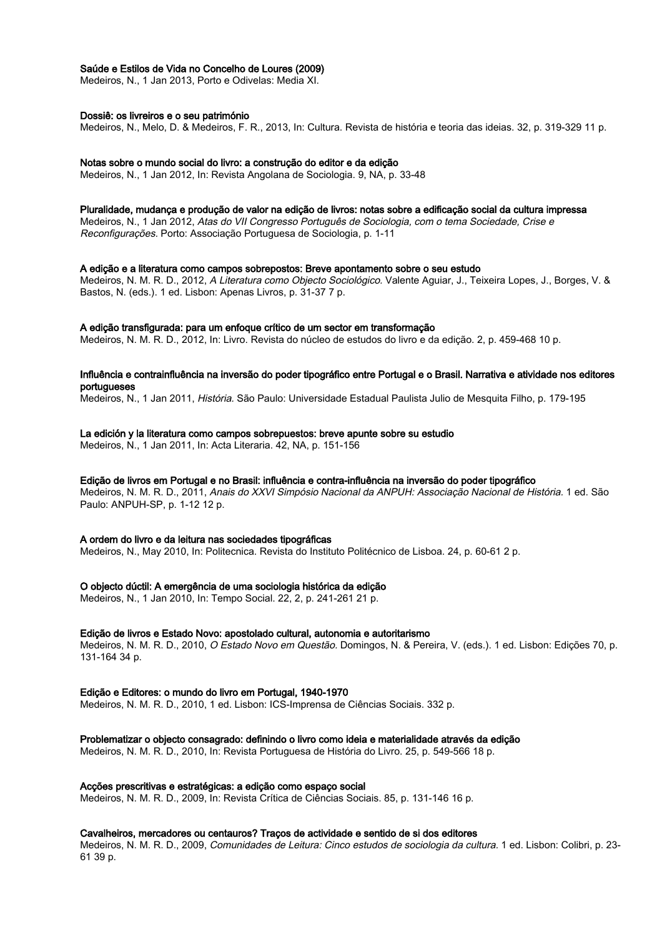### Saúde e Estilos de Vida no Concelho de Loures (2009)

Medeiros, N., 1 Jan 2013, Porto e Odivelas: Media XI.

#### Dossiê: os livreiros e o seu património

Medeiros, N., Melo, D. & Medeiros, F. R., 2013, In: Cultura. Revista de história e teoria das ideias. 32, p. 319-329 11 p.

#### Notas sobre o mundo social do livro: a construção do editor e da edição

Medeiros, N., 1 Jan 2012, In: Revista Angolana de Sociologia. 9, NA, p. 33-48

#### Pluralidade, mudança e produção de valor na edição de livros: notas sobre a edificação social da cultura impressa

Medeiros, N., 1 Jan 2012, Atas do VII Congresso Português de Sociologia, com o tema Sociedade, Crise e Reconfigurações. Porto: Associação Portuguesa de Sociologia, p. 1-11

#### A edição e a literatura como campos sobrepostos: Breve apontamento sobre o seu estudo

Medeiros, N. M. R. D., 2012, A Literatura como Objecto Sociológico. Valente Aguiar, J., Teixeira Lopes, J., Borges, V. & Bastos, N. (eds.). 1 ed. Lisbon: Apenas Livros, p. 31-37 7 p.

#### A edição transfigurada: para um enfoque crítico de um sector em transformação

Medeiros, N. M. R. D., 2012, In: Livro. Revista do núcleo de estudos do livro e da edição. 2, p. 459-468 10 p.

### Influência e contrainfluência na inversão do poder tipográfico entre Portugal e o Brasil. Narrativa e atividade nos editores portugueses

Medeiros, N., 1 Jan 2011, História. São Paulo: Universidade Estadual Paulista Julio de Mesquita Filho, p. 179-195

### La edición y la literatura como campos sobrepuestos: breve apunte sobre su estudio

Medeiros, N., 1 Jan 2011, In: Acta Literaria. 42, NA, p. 151-156

#### Edição de livros em Portugal e no Brasil: influência e contra-influência na inversão do poder tipográfico

Medeiros, N. M. R. D., 2011, Anais do XXVI Simpósio Nacional da ANPUH: Associação Nacional de História. 1 ed. São Paulo: ANPUH-SP, p. 1-12 12 p.

#### A ordem do livro e da leitura nas sociedades tipográficas

Medeiros, N., May 2010, In: Politecnica. Revista do Instituto Politécnico de Lisboa. 24, p. 60-61 2 p.

#### O objecto dúctil: A emergência de uma sociologia histórica da edição

Medeiros, N., 1 Jan 2010, In: Tempo Social. 22, 2, p. 241-261 21 p.

#### Edição de livros e Estado Novo: apostolado cultural, autonomia e autoritarismo

Medeiros, N. M. R. D., 2010, O Estado Novo em Questão. Domingos, N. & Pereira, V. (eds.). 1 ed. Lisbon: Edições 70, p. 131-164 34 p.

#### Edição e Editores: o mundo do livro em Portugal, 1940-1970

Medeiros, N. M. R. D., 2010, 1 ed. Lisbon: ICS-Imprensa de Ciências Sociais. 332 p.

#### Problematizar o objecto consagrado: definindo o livro como ideia e materialidade através da edição

Medeiros, N. M. R. D., 2010, In: Revista Portuguesa de História do Livro. 25, p. 549-566 18 p.

#### Acções prescritivas e estratégicas: a edição como espaço social

Medeiros, N. M. R. D., 2009, In: Revista Crítica de Ciências Sociais. 85, p. 131-146 16 p.

#### Cavalheiros, mercadores ou centauros? Traços de actividade e sentido de si dos editores

Medeiros, N. M. R. D., 2009, Comunidades de Leitura: Cinco estudos de sociologia da cultura. 1 ed. Lisbon: Colibri, p. 23- 61 39 p.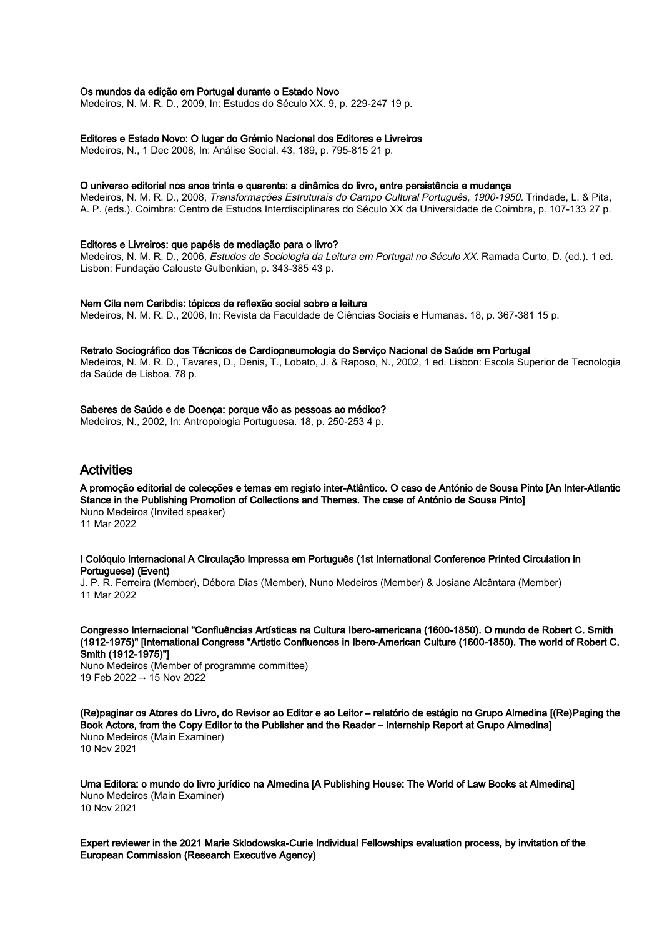#### Os mundos da edição em Portugal durante o Estado Novo

Medeiros, N. M. R. D., 2009, In: Estudos do Século XX. 9, p. 229-247 19 p.

#### Editores e Estado Novo: O lugar do Grémio Nacional dos Editores e Livreiros

Medeiros, N., 1 Dec 2008, In: Análise Social. 43, 189, p. 795-815 21 p.

#### O universo editorial nos anos trinta e quarenta: a dinâmica do livro, entre persistência e mudança

Medeiros, N. M. R. D., 2008, Transformações Estruturais do Campo Cultural Português, 1900-1950. Trindade, L. & Pita, A. P. (eds.). Coimbra: Centro de Estudos Interdisciplinares do Século XX da Universidade de Coimbra, p. 107-133 27 p.

#### Editores e Livreiros: que papéis de mediação para o livro?

Medeiros, N. M. R. D., 2006, Estudos de Sociologia da Leitura em Portugal no Século XX. Ramada Curto, D. (ed.). 1 ed. Lisbon: Fundação Calouste Gulbenkian, p. 343-385 43 p.

#### Nem Cila nem Caribdis: tópicos de reflexão social sobre a leitura

Medeiros, N. M. R. D., 2006, In: Revista da Faculdade de Ciências Sociais e Humanas. 18, p. 367-381 15 p.

#### Retrato Sociográfico dos Técnicos de Cardiopneumologia do Serviço Nacional de Saúde em Portugal

Medeiros, N. M. R. D., Tavares, D., Denis, T., Lobato, J. & Raposo, N., 2002, 1 ed. Lisbon: Escola Superior de Tecnologia da Saúde de Lisboa. 78 p.

## Saberes de Saúde e de Doença: porque vão as pessoas ao médico?

Medeiros, N., 2002, In: Antropologia Portuguesa. 18, p. 250-253 4 p.

# Activities

A promoção editorial de colecções e temas em registo inter-Atlântico. O caso de António de Sousa Pinto [An Inter-Atlantic Stance in the Publishing Promotion of Collections and Themes. The case of António de Sousa Pinto] Nuno Medeiros (Invited speaker) 11 Mar 2022

#### I Colóquio Internacional A Circulação Impressa em Português (1st International Conference Printed Circulation in Portuguese) (Event)

J. P. R. Ferreira (Member), Débora Dias (Member), Nuno Medeiros (Member) & Josiane Alcântara (Member) 11 Mar 2022

Congresso Internacional "Confluências Artísticas na Cultura Ibero-americana (1600-1850). O mundo de Robert C. Smith (1912-1975)" [International Congress "Artistic Confluences in Ibero-American Culture (1600-1850). The world of Robert C. Smith (1912-1975)"]

Nuno Medeiros (Member of programme committee) 19 Feb 2022 → 15 Nov 2022

(Re)paginar os Atores do Livro, do Revisor ao Editor e ao Leitor – relatório de estágio no Grupo Almedina [(Re)Paging the Book Actors, from the Copy Editor to the Publisher and the Reader – Internship Report at Grupo Almedina] Nuno Medeiros (Main Examiner) 10 Nov 2021

Uma Editora: o mundo do livro jurídico na Almedina [A Publishing House: The World of Law Books at Almedina] Nuno Medeiros (Main Examiner) 10 Nov 2021

Expert reviewer in the 2021 Marie Sklodowska-Curie Individual Fellowships evaluation process, by invitation of the European Commission (Research Executive Agency)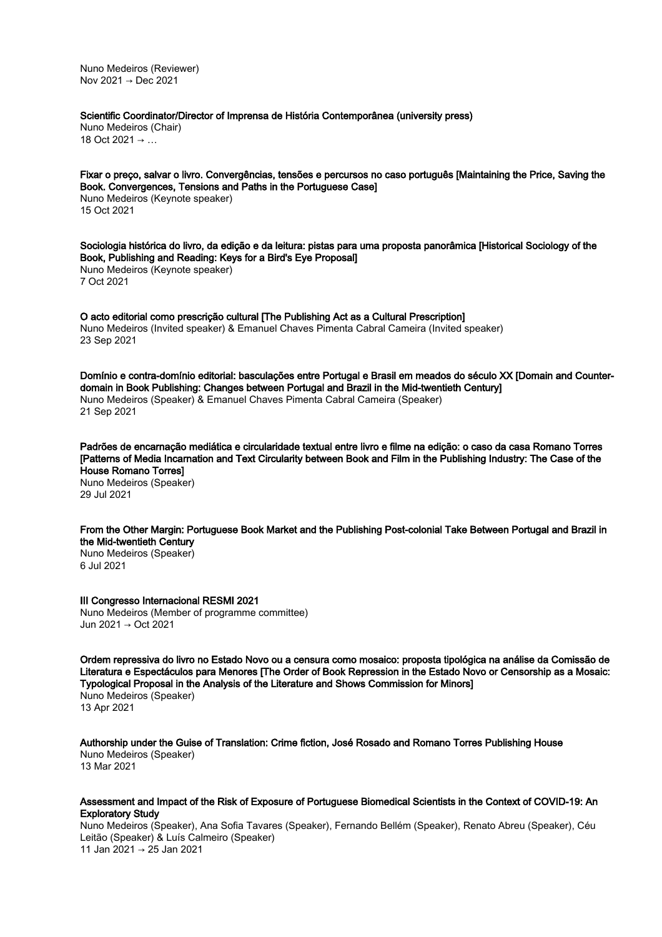Nuno Medeiros (Reviewer) Nov 2021 → Dec 2021

### Scientific Coordinator/Director of Imprensa de História Contemporânea (university press)

Nuno Medeiros (Chair) 18 Oct 2021 → …

Fixar o preço, salvar o livro. Convergências, tensões e percursos no caso português [Maintaining the Price, Saving the Book. Convergences, Tensions and Paths in the Portuguese Case] Nuno Medeiros (Keynote speaker) 15 Oct 2021

Sociologia histórica do livro, da edição e da leitura: pistas para uma proposta panorâmica [Historical Sociology of the Book, Publishing and Reading: Keys for a Bird's Eye Proposal] Nuno Medeiros (Keynote speaker) 7 Oct 2021

O acto editorial como prescrição cultural [The Publishing Act as a Cultural Prescription] Nuno Medeiros (Invited speaker) & Emanuel Chaves Pimenta Cabral Cameira (Invited speaker) 23 Sep 2021

Domínio e contra-domínio editorial: basculações entre Portugal e Brasil em meados do século XX [Domain and Counterdomain in Book Publishing: Changes between Portugal and Brazil in the Mid-twentieth Century] Nuno Medeiros (Speaker) & Emanuel Chaves Pimenta Cabral Cameira (Speaker) 21 Sep 2021

Padrões de encarnação mediática e circularidade textual entre livro e filme na edição: o caso da casa Romano Torres [Patterns of Media Incarnation and Text Circularity between Book and Film in the Publishing Industry: The Case of the House Romano Torres] Nuno Medeiros (Speaker)

29 Jul 2021

From the Other Margin: Portuguese Book Market and the Publishing Post-colonial Take Between Portugal and Brazil in the Mid-twentieth Century

Nuno Medeiros (Speaker) 6 Jul 2021

III Congresso Internacional RESMI 2021 Nuno Medeiros (Member of programme committee) Jun 2021 → Oct 2021

Ordem repressiva do livro no Estado Novo ou a censura como mosaico: proposta tipológica na análise da Comissão de Literatura e Espectáculos para Menores [The Order of Book Repression in the Estado Novo or Censorship as a Mosaic: Typological Proposal in the Analysis of the Literature and Shows Commission for Minors] Nuno Medeiros (Speaker) 13 Apr 2021

Authorship under the Guise of Translation: Crime fiction, José Rosado and Romano Torres Publishing House Nuno Medeiros (Speaker)

13 Mar 2021

#### Assessment and Impact of the Risk of Exposure of Portuguese Biomedical Scientists in the Context of COVID-19: An Exploratory Study

Nuno Medeiros (Speaker), Ana Sofia Tavares (Speaker), Fernando Bellém (Speaker), Renato Abreu (Speaker), Céu Leitão (Speaker) & Luís Calmeiro (Speaker) 11 Jan 2021 → 25 Jan 2021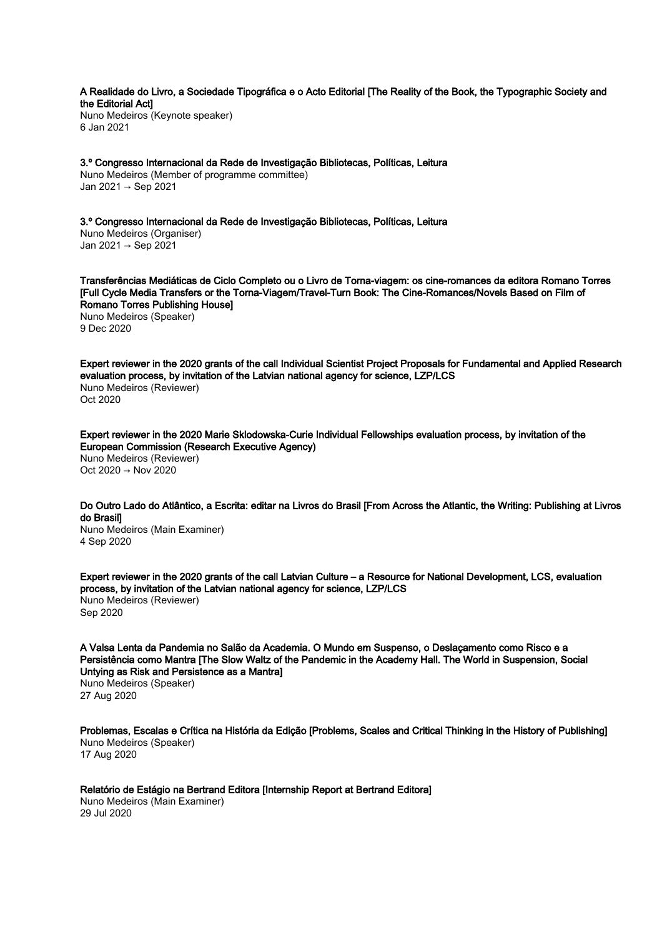A Realidade do Livro, a Sociedade Tipográfica e o Acto Editorial [The Reality of the Book, the Typographic Society and the Editorial Act]

Nuno Medeiros (Keynote speaker) 6 Jan 2021

3.º Congresso Internacional da Rede de Investigação Bibliotecas, Políticas, Leitura Nuno Medeiros (Member of programme committee) Jan 2021 → Sep 2021

3.º Congresso Internacional da Rede de Investigação Bibliotecas, Políticas, Leitura Nuno Medeiros (Organiser) Jan 2021 → Sep 2021

Transferências Mediáticas de Ciclo Completo ou o Livro de Torna-viagem: os cine-romances da editora Romano Torres [Full Cycle Media Transfers or the Torna-Viagem/Travel-Turn Book: The Cine-Romances/Novels Based on Film of Romano Torres Publishing House] Nuno Medeiros (Speaker) 9 Dec 2020

Expert reviewer in the 2020 grants of the call Individual Scientist Project Proposals for Fundamental and Applied Research evaluation process, by invitation of the Latvian national agency for science, LZP/LCS Nuno Medeiros (Reviewer) Oct 2020

Expert reviewer in the 2020 Marie Sklodowska-Curie Individual Fellowships evaluation process, by invitation of the European Commission (Research Executive Agency) Nuno Medeiros (Reviewer) Oct 2020 → Nov 2020

Do Outro Lado do Atlântico, a Escrita: editar na Livros do Brasil [From Across the Atlantic, the Writing: Publishing at Livros do Brasil]

Nuno Medeiros (Main Examiner) 4 Sep 2020

Expert reviewer in the 2020 grants of the call Latvian Culture – a Resource for National Development, LCS, evaluation process, by invitation of the Latvian national agency for science, LZP/LCS Nuno Medeiros (Reviewer) Sep 2020

A Valsa Lenta da Pandemia no Salão da Academia. O Mundo em Suspenso, o Deslaçamento como Risco e a Persistência como Mantra [The Slow Waltz of the Pandemic in the Academy Hall. The World in Suspension, Social Untying as Risk and Persistence as a Mantra]

Nuno Medeiros (Speaker) 27 Aug 2020

Problemas, Escalas e Crítica na História da Edição [Problems, Scales and Critical Thinking in the History of Publishing] Nuno Medeiros (Speaker) 17 Aug 2020

Relatório de Estágio na Bertrand Editora [Internship Report at Bertrand Editora]

Nuno Medeiros (Main Examiner) 29 Jul 2020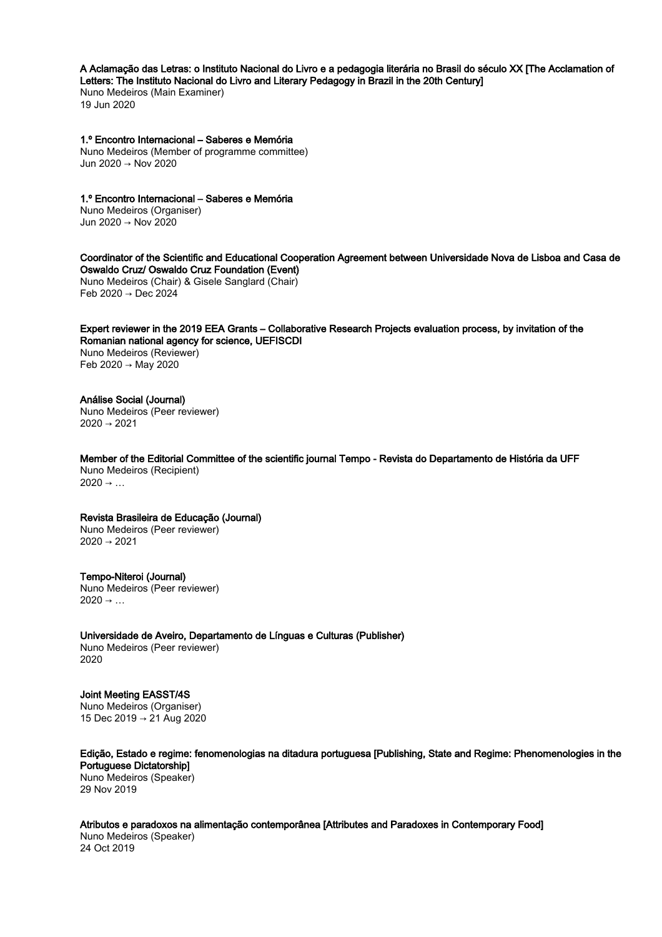# A Aclamação das Letras: o Instituto Nacional do Livro e a pedagogia literária no Brasil do século XX [The Acclamation of

Letters: The Instituto Nacional do Livro and Literary Pedagogy in Brazil in the 20th Century] Nuno Medeiros (Main Examiner)

19 Jun 2020

# 1.º Encontro Internacional – Saberes e Memória

Nuno Medeiros (Member of programme committee) Jun 2020 → Nov 2020

# 1.º Encontro Internacional – Saberes e Memória

Nuno Medeiros (Organiser) Jun 2020 → Nov 2020

#### Coordinator of the Scientific and Educational Cooperation Agreement between Universidade Nova de Lisboa and Casa de Oswaldo Cruz/ Oswaldo Cruz Foundation (Event)

Nuno Medeiros (Chair) & Gisele Sanglard (Chair) Feb 2020 → Dec 2024

Expert reviewer in the 2019 EEA Grants – Collaborative Research Projects evaluation process, by invitation of the Romanian national agency for science, UEFISCDI Nuno Medeiros (Reviewer) Feb 2020 → May 2020

# Análise Social (Journal)

Nuno Medeiros (Peer reviewer)  $2020 \rightarrow 2021$ 

Member of the Editorial Committee of the scientific journal Tempo - Revista do Departamento de História da UFF Nuno Medeiros (Recipient)  $2020 \rightarrow ...$ 

# Revista Brasileira de Educação (Journal)

Nuno Medeiros (Peer reviewer)  $2020 \rightarrow 2021$ 

# Tempo-Niteroi (Journal)

Nuno Medeiros (Peer reviewer)  $2020 \rightarrow ...$ 

Universidade de Aveiro, Departamento de Línguas e Culturas (Publisher) Nuno Medeiros (Peer reviewer) 2020

# Joint Meeting EASST/4S

Nuno Medeiros (Organiser) 15 Dec 2019 → 21 Aug 2020

Edição, Estado e regime: fenomenologias na ditadura portuguesa [Publishing, State and Regime: Phenomenologies in the Portuguese Dictatorship] Nuno Medeiros (Speaker)

29 Nov 2019

Atributos e paradoxos na alimentação contemporânea [Attributes and Paradoxes in Contemporary Food] Nuno Medeiros (Speaker) 24 Oct 2019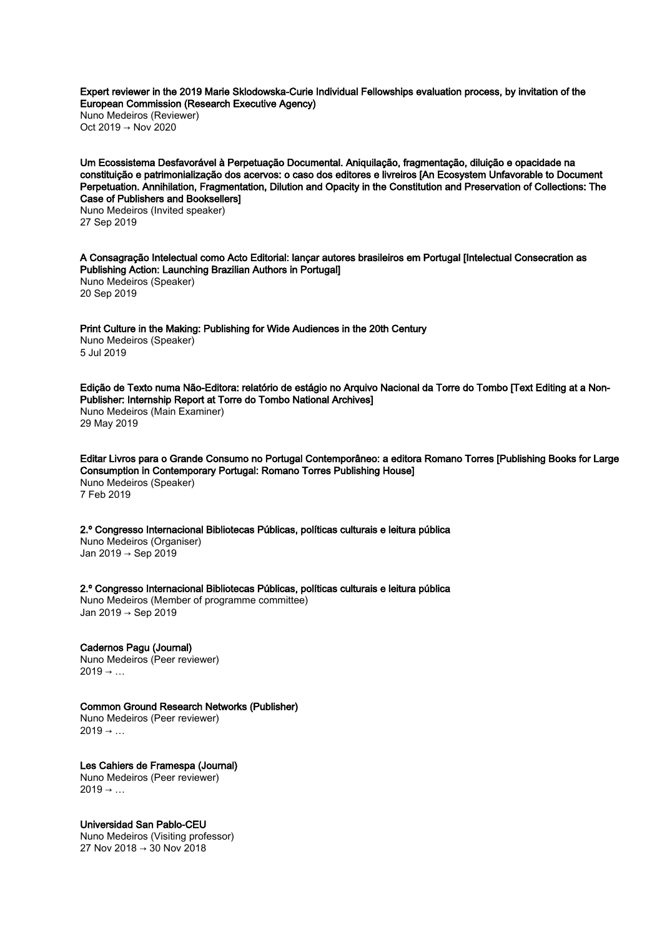Expert reviewer in the 2019 Marie Sklodowska-Curie Individual Fellowships evaluation process, by invitation of the European Commission (Research Executive Agency)

Nuno Medeiros (Reviewer) Oct 2019 → Nov 2020

Um Ecossistema Desfavorável à Perpetuação Documental. Aniquilação, fragmentação, diluição e opacidade na constituição e patrimonialização dos acervos: o caso dos editores e livreiros [An Ecosystem Unfavorable to Document Perpetuation. Annihilation, Fragmentation, Dilution and Opacity in the Constitution and Preservation of Collections: The Case of Publishers and Booksellers]

Nuno Medeiros (Invited speaker) 27 Sep 2019

A Consagração Intelectual como Acto Editorial: lançar autores brasileiros em Portugal [Intelectual Consecration as Publishing Action: Launching Brazilian Authors in Portugal] Nuno Medeiros (Speaker) 20 Sep 2019

Print Culture in the Making: Publishing for Wide Audiences in the 20th Century Nuno Medeiros (Speaker) 5 Jul 2019

Edição de Texto numa Não-Editora: relatório de estágio no Arquivo Nacional da Torre do Tombo [Text Editing at a Non-Publisher: Internship Report at Torre do Tombo National Archives] Nuno Medeiros (Main Examiner) 29 May 2019

Editar Livros para o Grande Consumo no Portugal Contemporâneo: a editora Romano Torres [Publishing Books for Large Consumption in Contemporary Portugal: Romano Torres Publishing House] Nuno Medeiros (Speaker) 7 Feb 2019

2.º Congresso Internacional Bibliotecas Públicas, políticas culturais e leitura pública Nuno Medeiros (Organiser) Jan 2019 → Sep 2019

2.º Congresso Internacional Bibliotecas Públicas, políticas culturais e leitura pública Nuno Medeiros (Member of programme committee) Jan 2019 → Sep 2019

Cadernos Pagu (Journal) Nuno Medeiros (Peer reviewer)  $2019 \rightarrow ...$ 

# Common Ground Research Networks (Publisher)

Nuno Medeiros (Peer reviewer)  $2019 \rightarrow ...$ 

Les Cahiers de Framespa (Journal) Nuno Medeiros (Peer reviewer)  $2019 \rightarrow ...$ 

Universidad San Pablo-CEU

Nuno Medeiros (Visiting professor) 27 Nov 2018 → 30 Nov 2018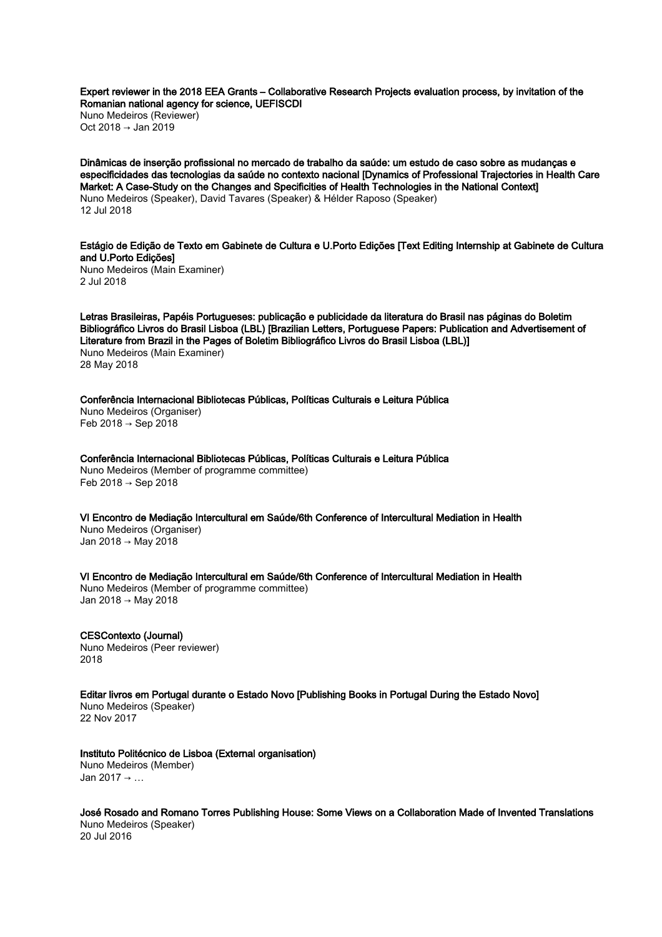Expert reviewer in the 2018 EEA Grants – Collaborative Research Projects evaluation process, by invitation of the Romanian national agency for science, UEFISCDI

Nuno Medeiros (Reviewer) Oct 2018 → Jan 2019

Dinâmicas de inserção profissional no mercado de trabalho da saúde: um estudo de caso sobre as mudanças e especificidades das tecnologias da saúde no contexto nacional [Dynamics of Professional Trajectories in Health Care Market: A Case-Study on the Changes and Specificities of Health Technologies in the National Context] Nuno Medeiros (Speaker), David Tavares (Speaker) & Hélder Raposo (Speaker) 12 Jul 2018

Estágio de Edição de Texto em Gabinete de Cultura e U.Porto Edições [Text Editing Internship at Gabinete de Cultura and U.Porto Edições]

Nuno Medeiros (Main Examiner) 2 Jul 2018

Letras Brasileiras, Papéis Portugueses: publicação e publicidade da literatura do Brasil nas páginas do Boletim Bibliográfico Livros do Brasil Lisboa (LBL) [Brazilian Letters, Portuguese Papers: Publication and Advertisement of Literature from Brazil in the Pages of Boletim Bibliográfico Livros do Brasil Lisboa (LBL)] Nuno Medeiros (Main Examiner) 28 May 2018

Conferência Internacional Bibliotecas Públicas, Políticas Culturais e Leitura Pública Nuno Medeiros (Organiser) Feb 2018 → Sep 2018

Conferência Internacional Bibliotecas Públicas, Políticas Culturais e Leitura Pública Nuno Medeiros (Member of programme committee) Feb 2018 → Sep 2018

VI Encontro de Mediação Intercultural em Saúde/6th Conference of Intercultural Mediation in Health Nuno Medeiros (Organiser) Jan 2018 → May 2018

VI Encontro de Mediação Intercultural em Saúde/6th Conference of Intercultural Mediation in Health Nuno Medeiros (Member of programme committee) Jan 2018 → May 2018

CESContexto (Journal) Nuno Medeiros (Peer reviewer) 2018

Editar livros em Portugal durante o Estado Novo [Publishing Books in Portugal During the Estado Novo] Nuno Medeiros (Speaker) 22 Nov 2017

Instituto Politécnico de Lisboa (External organisation)

Nuno Medeiros (Member) Jan 2017 → …

José Rosado and Romano Torres Publishing House: Some Views on a Collaboration Made of Invented Translations Nuno Medeiros (Speaker) 20 Jul 2016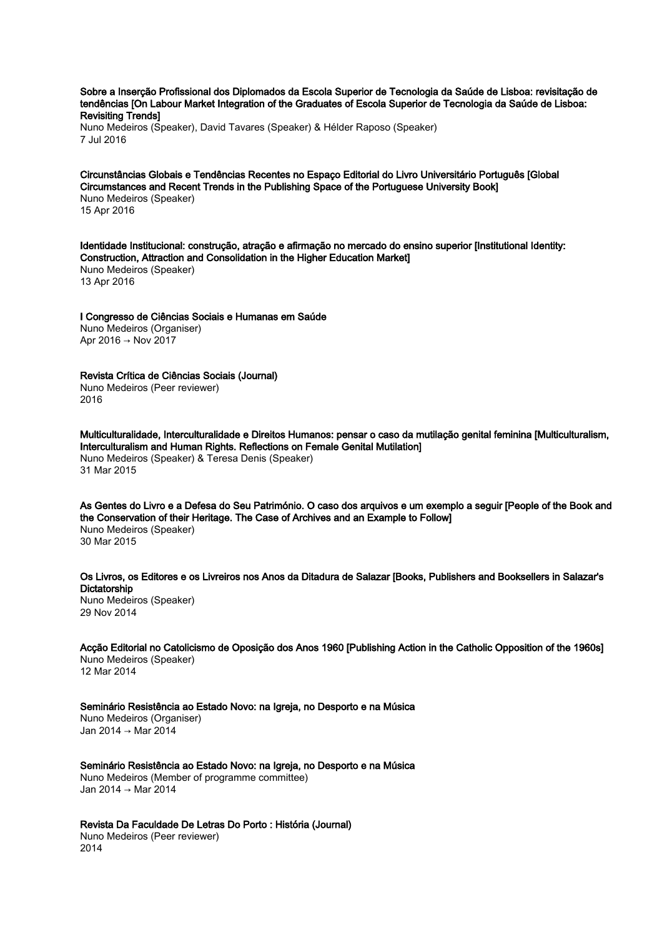Sobre a Inserção Profissional dos Diplomados da Escola Superior de Tecnologia da Saúde de Lisboa: revisitação de tendências [On Labour Market Integration of the Graduates of Escola Superior de Tecnologia da Saúde de Lisboa: Revisiting Trends]

Nuno Medeiros (Speaker), David Tavares (Speaker) & Hélder Raposo (Speaker) 7 Jul 2016

Circunstâncias Globais e Tendências Recentes no Espaço Editorial do Livro Universitário Português [Global Circumstances and Recent Trends in the Publishing Space of the Portuguese University Book] Nuno Medeiros (Speaker) 15 Apr 2016

Identidade Institucional: construção, atração e afirmação no mercado do ensino superior [Institutional Identity: Construction, Attraction and Consolidation in the Higher Education Market] Nuno Medeiros (Speaker) 13 Apr 2016

I Congresso de Ciências Sociais e Humanas em Saúde Nuno Medeiros (Organiser) Apr 2016 → Nov 2017

Revista Crítica de Ciências Sociais (Journal) Nuno Medeiros (Peer reviewer) 2016

Multiculturalidade, Interculturalidade e Direitos Humanos: pensar o caso da mutilação genital feminina [Multiculturalism, Interculturalism and Human Rights. Reflections on Female Genital Mutilation] Nuno Medeiros (Speaker) & Teresa Denis (Speaker) 31 Mar 2015

As Gentes do Livro e a Defesa do Seu Património. O caso dos arquivos e um exemplo a seguir [People of the Book and the Conservation of their Heritage. The Case of Archives and an Example to Follow] Nuno Medeiros (Speaker) 30 Mar 2015

Os Livros, os Editores e os Livreiros nos Anos da Ditadura de Salazar [Books, Publishers and Booksellers in Salazar's **Dictatorship** Nuno Medeiros (Speaker) 29 Nov 2014

Acção Editorial no Catolicismo de Oposição dos Anos 1960 [Publishing Action in the Catholic Opposition of the 1960s] Nuno Medeiros (Speaker) 12 Mar 2014

Seminário Resistência ao Estado Novo: na Igreja, no Desporto e na Música Nuno Medeiros (Organiser) Jan 2014 → Mar 2014

Seminário Resistência ao Estado Novo: na Igreja, no Desporto e na Música Nuno Medeiros (Member of programme committee) Jan 2014 → Mar 2014

Revista Da Faculdade De Letras Do Porto : História (Journal) Nuno Medeiros (Peer reviewer) 2014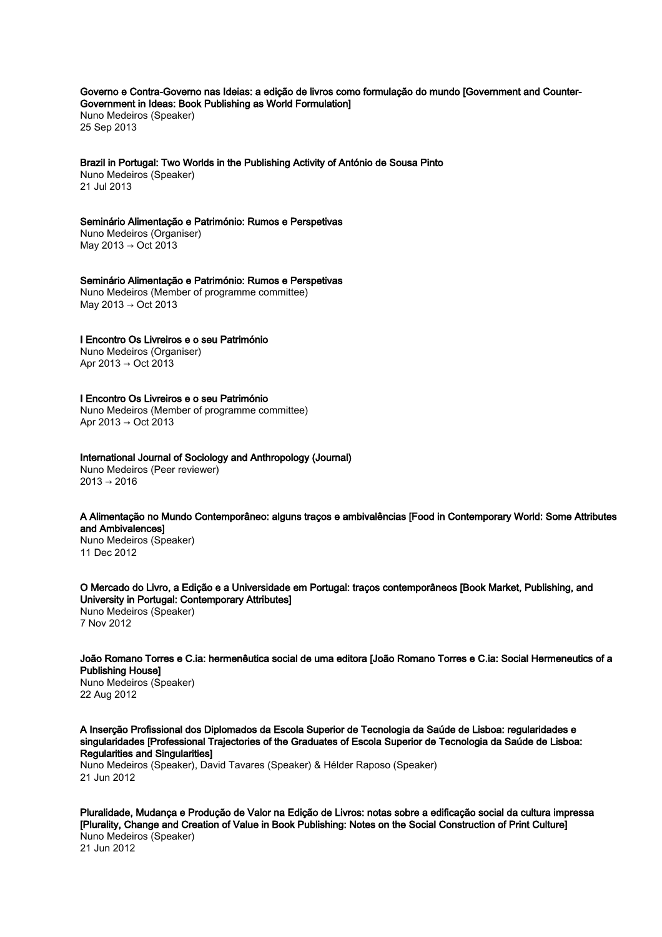Governo e Contra-Governo nas Ideias: a edição de livros como formulação do mundo [Government and Counter-Government in Ideas: Book Publishing as World Formulation] Nuno Medeiros (Speaker) 25 Sep 2013

Brazil in Portugal: Two Worlds in the Publishing Activity of António de Sousa Pinto Nuno Medeiros (Speaker)

21 Jul 2013

# Seminário Alimentação e Património: Rumos e Perspetivas

Nuno Medeiros (Organiser) May 2013 → Oct 2013

Seminário Alimentação e Património: Rumos e Perspetivas Nuno Medeiros (Member of programme committee) May 2013 → Oct 2013

I Encontro Os Livreiros e o seu Património

Nuno Medeiros (Organiser) Apr 2013 → Oct 2013

# I Encontro Os Livreiros e o seu Património

Nuno Medeiros (Member of programme committee) Apr 2013 → Oct 2013

# International Journal of Sociology and Anthropology (Journal)

Nuno Medeiros (Peer reviewer)  $2013 \rightarrow 2016$ 

# A Alimentação no Mundo Contemporâneo: alguns traços e ambivalências [Food in Contemporary World: Some Attributes and Ambivalences]

Nuno Medeiros (Speaker) 11 Dec 2012

O Mercado do Livro, a Edição e a Universidade em Portugal: traços contemporâneos [Book Market, Publishing, and University in Portugal: Contemporary Attributes] Nuno Medeiros (Speaker) 7 Nov 2012

João Romano Torres e C.ia: hermenêutica social de uma editora [João Romano Torres e C.ia: Social Hermeneutics of a Publishing House]

Nuno Medeiros (Speaker) 22 Aug 2012

A Inserção Profissional dos Diplomados da Escola Superior de Tecnologia da Saúde de Lisboa: regularidades e singularidades [Professional Trajectories of the Graduates of Escola Superior de Tecnologia da Saúde de Lisboa: Regularities and Singularities]

Nuno Medeiros (Speaker), David Tavares (Speaker) & Hélder Raposo (Speaker) 21 Jun 2012

Pluralidade, Mudança e Produção de Valor na Edição de Livros: notas sobre a edificação social da cultura impressa [Plurality, Change and Creation of Value in Book Publishing: Notes on the Social Construction of Print Culture] Nuno Medeiros (Speaker) 21 Jun 2012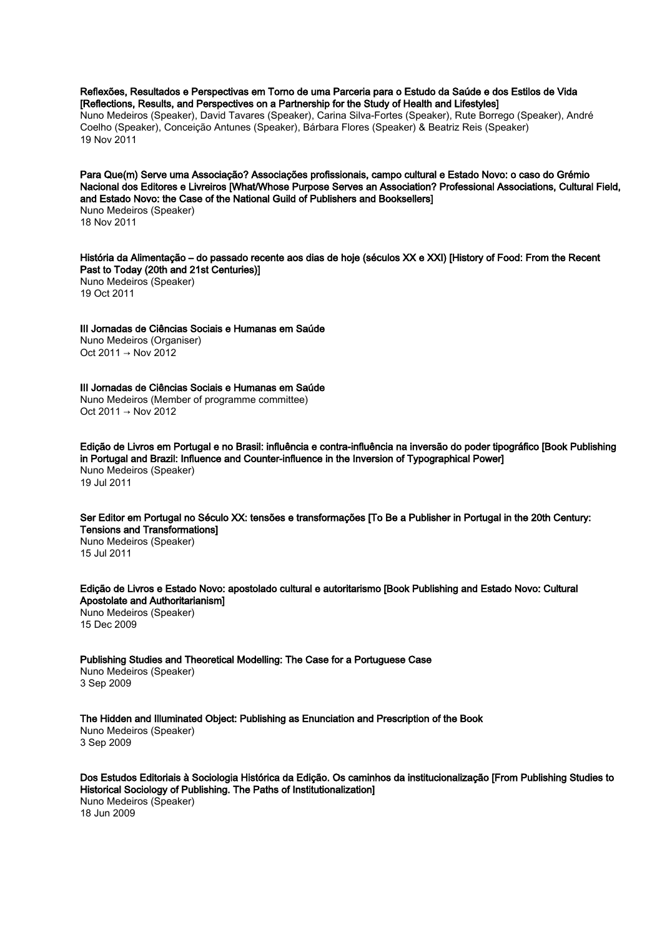Reflexões, Resultados e Perspectivas em Torno de uma Parceria para o Estudo da Saúde e dos Estilos de Vida [Reflections, Results, and Perspectives on a Partnership for the Study of Health and Lifestyles]

Nuno Medeiros (Speaker), David Tavares (Speaker), Carina Silva-Fortes (Speaker), Rute Borrego (Speaker), André Coelho (Speaker), Conceição Antunes (Speaker), Bárbara Flores (Speaker) & Beatriz Reis (Speaker) 19 Nov 2011

Para Que(m) Serve uma Associação? Associações profissionais, campo cultural e Estado Novo: o caso do Grémio Nacional dos Editores e Livreiros [What/Whose Purpose Serves an Association? Professional Associations, Cultural Field, and Estado Novo: the Case of the National Guild of Publishers and Booksellers]

Nuno Medeiros (Speaker) 18 Nov 2011

História da Alimentação – do passado recente aos dias de hoje (séculos XX e XXI) [History of Food: From the Recent Past to Today (20th and 21st Centuries)] Nuno Medeiros (Speaker) 19 Oct 2011

III Jornadas de Ciências Sociais e Humanas em Saúde Nuno Medeiros (Organiser) Oct 2011 → Nov 2012

III Jornadas de Ciências Sociais e Humanas em Saúde Nuno Medeiros (Member of programme committee)  $Oct 2011 → Nov 2012$ 

Edição de Livros em Portugal e no Brasil: influência e contra-influência na inversão do poder tipográfico [Book Publishing in Portugal and Brazil: Influence and Counter-influence in the Inversion of Typographical Power] Nuno Medeiros (Speaker) 19 Jul 2011

Ser Editor em Portugal no Século XX: tensões e transformações [To Be a Publisher in Portugal in the 20th Century: Tensions and Transformations] Nuno Medeiros (Speaker)

15 Jul 2011

Edição de Livros e Estado Novo: apostolado cultural e autoritarismo [Book Publishing and Estado Novo: Cultural Apostolate and Authoritarianism] Nuno Medeiros (Speaker) 15 Dec 2009

Publishing Studies and Theoretical Modelling: The Case for a Portuguese Case Nuno Medeiros (Speaker) 3 Sep 2009

The Hidden and Illuminated Object: Publishing as Enunciation and Prescription of the Book Nuno Medeiros (Speaker) 3 Sep 2009

Dos Estudos Editoriais à Sociologia Histórica da Edição. Os caminhos da institucionalização [From Publishing Studies to Historical Sociology of Publishing. The Paths of Institutionalization] Nuno Medeiros (Speaker) 18 Jun 2009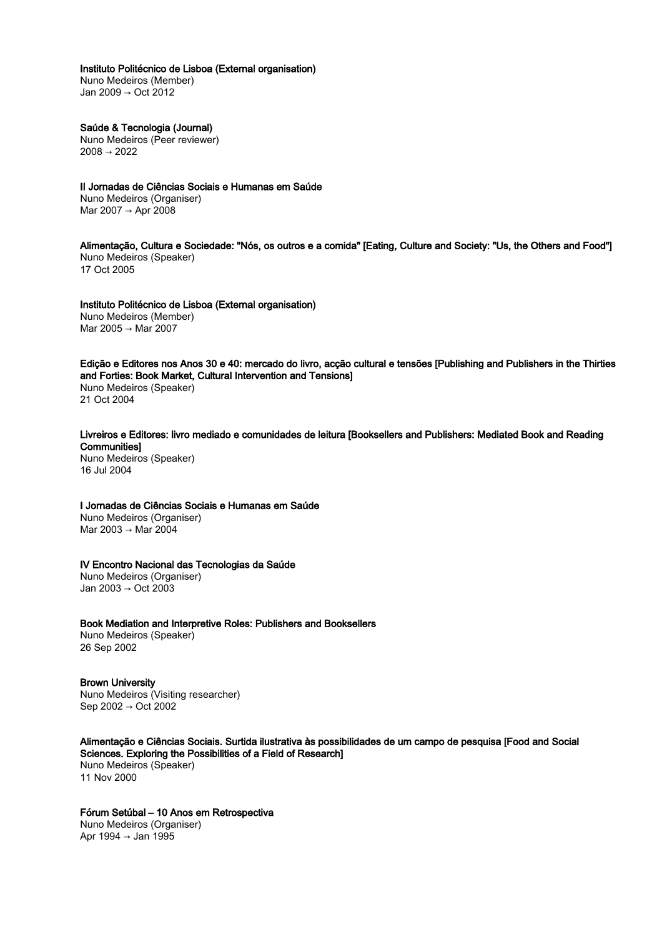### Instituto Politécnico de Lisboa (External organisation)

Nuno Medeiros (Member) Jan 2009 → Oct 2012

# Saúde & Tecnologia (Journal)

Nuno Medeiros (Peer reviewer)  $2008 \rightarrow 2022$ 

II Jornadas de Ciências Sociais e Humanas em Saúde Nuno Medeiros (Organiser) Mar 2007 → Apr 2008

Alimentação, Cultura e Sociedade: "Nós, os outros e a comida" [Eating, Culture and Society: "Us, the Others and Food"] Nuno Medeiros (Speaker) 17 Oct 2005

Instituto Politécnico de Lisboa (External organisation) Nuno Medeiros (Member) Mar 2005 → Mar 2007

Edição e Editores nos Anos 30 e 40: mercado do livro, acção cultural e tensões [Publishing and Publishers in the Thirties and Forties: Book Market, Cultural Intervention and Tensions] Nuno Medeiros (Speaker)

21 Oct 2004

Livreiros e Editores: livro mediado e comunidades de leitura [Booksellers and Publishers: Mediated Book and Reading **Communities1** 

Nuno Medeiros (Speaker) 16 Jul 2004

I Jornadas de Ciências Sociais e Humanas em Saúde

Nuno Medeiros (Organiser) Mar 2003 → Mar 2004

#### IV Encontro Nacional das Tecnologias da Saúde

Nuno Medeiros (Organiser) Jan 2003 → Oct 2003

Book Mediation and Interpretive Roles: Publishers and Booksellers

Nuno Medeiros (Speaker) 26 Sep 2002

Brown University Nuno Medeiros (Visiting researcher) Sep 2002 → Oct 2002

# Alimentação e Ciências Sociais. Surtida ilustrativa às possibilidades de um campo de pesquisa [Food and Social Sciences. Exploring the Possibilities of a Field of Research]

Nuno Medeiros (Speaker) 11 Nov 2000

# Fórum Setúbal – 10 Anos em Retrospectiva

Nuno Medeiros (Organiser) Apr 1994 → Jan 1995